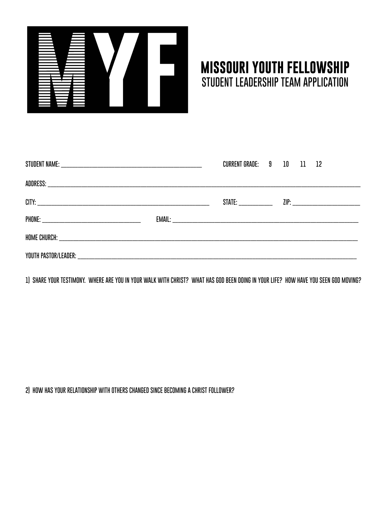

## **MISSOURI YOUTH FELLOWSHIP STUDENT LEADERSHIP TEAM APPLICATION**

|  | <b>CURRENT GRADE: 9 10 11 12</b> |  |  |
|--|----------------------------------|--|--|
|  |                                  |  |  |
|  |                                  |  |  |
|  |                                  |  |  |
|  |                                  |  |  |
|  |                                  |  |  |

**1) SHARE YOUR TESTIMONY. WHERE ARE YOU IN YOUR WALK WITH CHRIST? WHAT HAS GOD BEEN DOING IN YOUR LIFE? HOW HAVE YOU SEEN GOD MOVING?**

**2) HOW HAS YOUR RELATIONSHIP WITH OTHERS CHANGED SINCE BECOMING A CHRIST FOLLOWER?**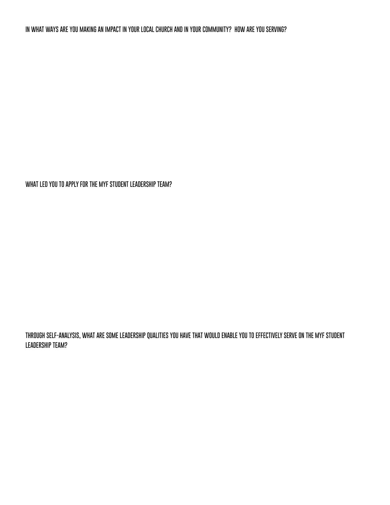**WHAT LED YOU TO APPLY FOR THE MYF STUDENT LEADERSHIP TEAM?**

**THROUGH SELF-ANALYSIS, WHAT ARE SOME LEADERSHIP QUALITIES YOU HAVE THAT WOULD ENABLE YOU TO EFFECTIVELY SERVE ON THE MYF STUDENT LEADERSHIP TEAM?**